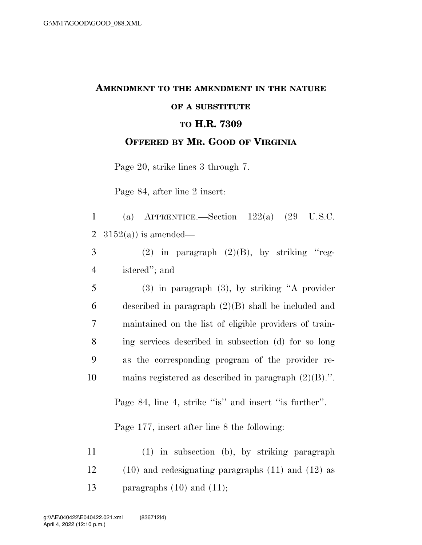## **AMENDMENT TO THE AMENDMENT IN THE NATURE OF A SUBSTITUTE TO H.R. 7309 OFFERED BY MR. GOOD OF VIRGINIA**

Page 20, strike lines 3 through 7.

Page 84, after line 2 insert:

|  | 1 (a) APPRENTICE.—Section $122(a)$ (29 U.S.C. |  |  |
|--|-----------------------------------------------|--|--|
|  | 2 $3152(a)$ is amended—                       |  |  |

|          |               | $(2)$ in paragraph $(2)(B)$ , by striking "reg- |  |  |
|----------|---------------|-------------------------------------------------|--|--|
| $\Delta$ | istered"; and |                                                 |  |  |

 (3) in paragraph (3), by striking ''A provider described in paragraph (2)(B) shall be included and maintained on the list of eligible providers of train- ing services described in subsection (d) for so long as the corresponding program of the provider re-mains registered as described in paragraph (2)(B).''.

Page 84, line 4, strike "is" and insert "is further".

Page 177, insert after line 8 the following:

11 (1) in subsection (b), by striking paragraph 12 (10) and redesignating paragraphs (11) and (12) as 13 paragraphs  $(10)$  and  $(11)$ ;